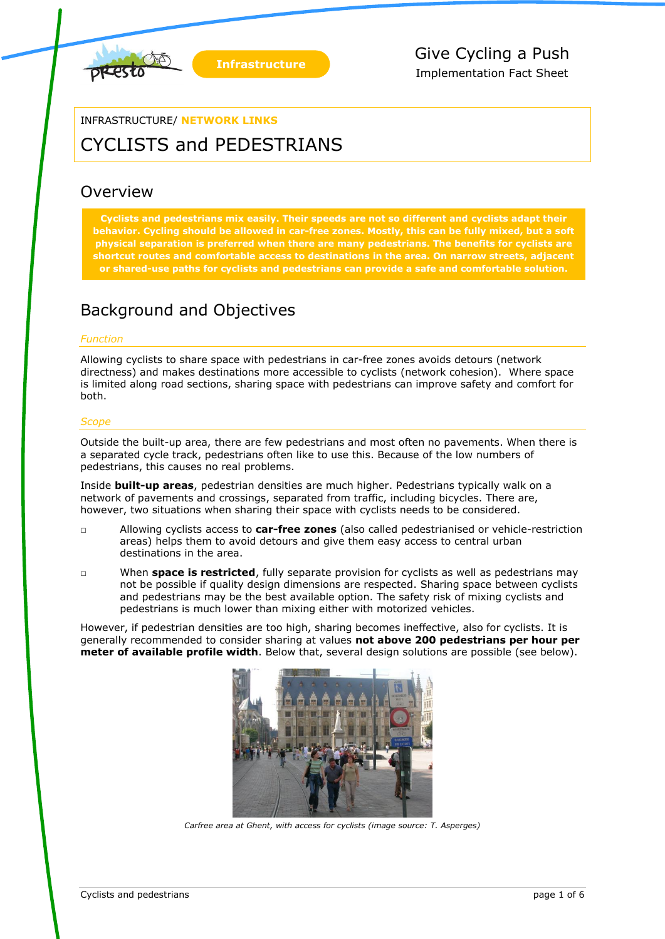

### INFRASTRUCTURE/ **NETWORK LINKS**

# CYCLISTS and PEDESTRIANS

## Overview

**Cyclists and pedestrians mix easily. Their speeds are not so different and cyclists adapt their behavior. Cycling should be allowed in car-free zones. Mostly, this can be fully mixed, but a soft physical separation is preferred when there are many pedestrians. The benefits for cyclists are shortcut routes and comfortable access to destinations in the area. On narrow streets, adjacent or shared-use paths for cyclists and pedestrians can provide a safe and comfortable solution.**

## Background and Objectives

#### *Function*

Allowing cyclists to share space with pedestrians in car-free zones avoids detours (network directness) and makes destinations more accessible to cyclists (network cohesion). Where space is limited along road sections, sharing space with pedestrians can improve safety and comfort for both.

#### *Scope*

Outside the built-up area, there are few pedestrians and most often no pavements. When there is a separated cycle track, pedestrians often like to use this. Because of the low numbers of pedestrians, this causes no real problems.

Inside **built-up areas**, pedestrian densities are much higher. Pedestrians typically walk on a network of pavements and crossings, separated from traffic, including bicycles. There are, however, two situations when sharing their space with cyclists needs to be considered.

- □ Allowing cyclists access to **car-free zones** (also called pedestrianised or vehicle-restriction areas) helps them to avoid detours and give them easy access to central urban destinations in the area.
- □ When **space is restricted**, fully separate provision for cyclists as well as pedestrians may not be possible if quality design dimensions are respected. Sharing space between cyclists and pedestrians may be the best available option. The safety risk of mixing cyclists and pedestrians is much lower than mixing either with motorized vehicles.

However, if pedestrian densities are too high, sharing becomes ineffective, also for cyclists. It is generally recommended to consider sharing at values **not above 200 pedestrians per hour per meter of available profile width**. Below that, several design solutions are possible (see below).



*Carfree area at Ghent, with access for cyclists (image source: T. Asperges)*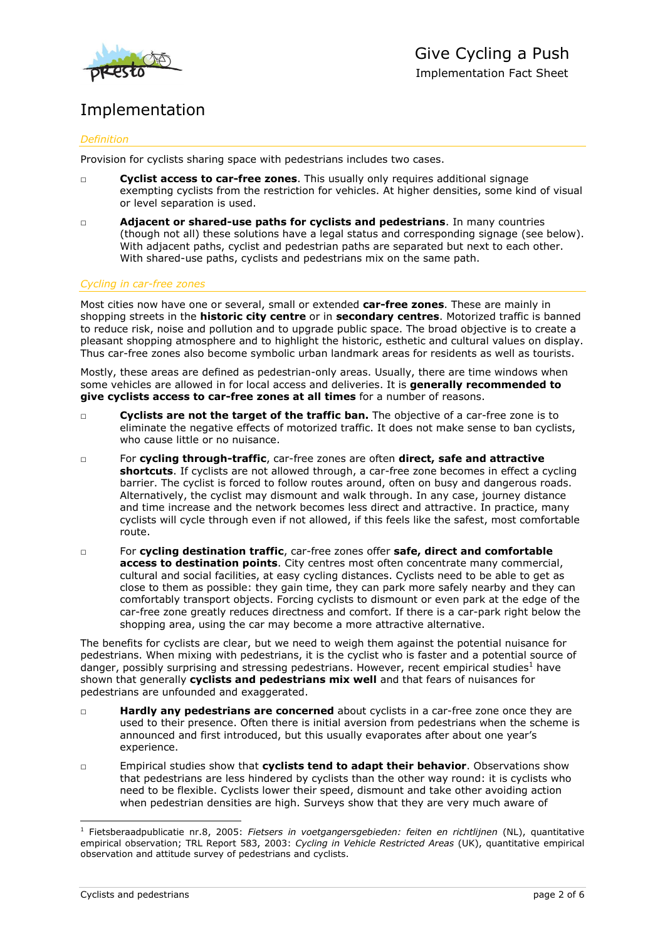

# Implementation

#### *Definition*

Provision for cyclists sharing space with pedestrians includes two cases.

- □ **Cyclist access to car-free zones**. This usually only requires additional signage exempting cyclists from the restriction for vehicles. At higher densities, some kind of visual or level separation is used.
- □ **Adjacent or shared-use paths for cyclists and pedestrians**. In many countries (though not all) these solutions have a legal status and corresponding signage (see below). With adjacent paths, cyclist and pedestrian paths are separated but next to each other. With shared-use paths, cyclists and pedestrians mix on the same path.

#### *Cycling in car-free zones*

Most cities now have one or several, small or extended **car-free zones**. These are mainly in shopping streets in the **historic city centre** or in **secondary centres**. Motorized traffic is banned to reduce risk, noise and pollution and to upgrade public space. The broad objective is to create a pleasant shopping atmosphere and to highlight the historic, esthetic and cultural values on display. Thus car-free zones also become symbolic urban landmark areas for residents as well as tourists.

Mostly, these areas are defined as pedestrian-only areas. Usually, there are time windows when some vehicles are allowed in for local access and deliveries. It is **generally recommended to give cyclists access to car-free zones at all times** for a number of reasons.

- □ **Cyclists are not the target of the traffic ban.** The objective of a car-free zone is to eliminate the negative effects of motorized traffic. It does not make sense to ban cyclists, who cause little or no nuisance.
- □ For **cycling through-traffic**, car-free zones are often **direct, safe and attractive shortcuts**. If cyclists are not allowed through, a car-free zone becomes in effect a cycling barrier. The cyclist is forced to follow routes around, often on busy and dangerous roads. Alternatively, the cyclist may dismount and walk through. In any case, journey distance and time increase and the network becomes less direct and attractive. In practice, many cyclists will cycle through even if not allowed, if this feels like the safest, most comfortable route.
- □ For **cycling destination traffic**, car-free zones offer **safe, direct and comfortable access to destination points**. City centres most often concentrate many commercial, cultural and social facilities, at easy cycling distances. Cyclists need to be able to get as close to them as possible: they gain time, they can park more safely nearby and they can comfortably transport objects. Forcing cyclists to dismount or even park at the edge of the car-free zone greatly reduces directness and comfort. If there is a car-park right below the shopping area, using the car may become a more attractive alternative.

The benefits for cyclists are clear, but we need to weigh them against the potential nuisance for pedestrians. When mixing with pedestrians, it is the cyclist who is faster and a potential source of danger, possibly surprising and stressing pedestrians. However, recent empirical studies<sup>1</sup> have shown that generally **cyclists and pedestrians mix well** and that fears of nuisances for pedestrians are unfounded and exaggerated.

- □ **Hardly any pedestrians are concerned** about cyclists in a car-free zone once they are used to their presence. Often there is initial aversion from pedestrians when the scheme is announced and first introduced, but this usually evaporates after about one year's experience.
- □ Empirical studies show that **cyclists tend to adapt their behavior**. Observations show that pedestrians are less hindered by cyclists than the other way round: it is cyclists who need to be flexible. Cyclists lower their speed, dismount and take other avoiding action when pedestrian densities are high. Surveys show that they are very much aware of

-

<sup>&</sup>lt;sup>1</sup> Fietsberaadpublicatie nr.8, 2005: *Fietsers in voetgangersgebieden: feiten en richtlijnen* (NL), quantitative empirical observation; TRL Report 583, 2003: *Cycling in Vehicle Restricted Areas* (UK), quantitative empirical observation and attitude survey of pedestrians and cyclists.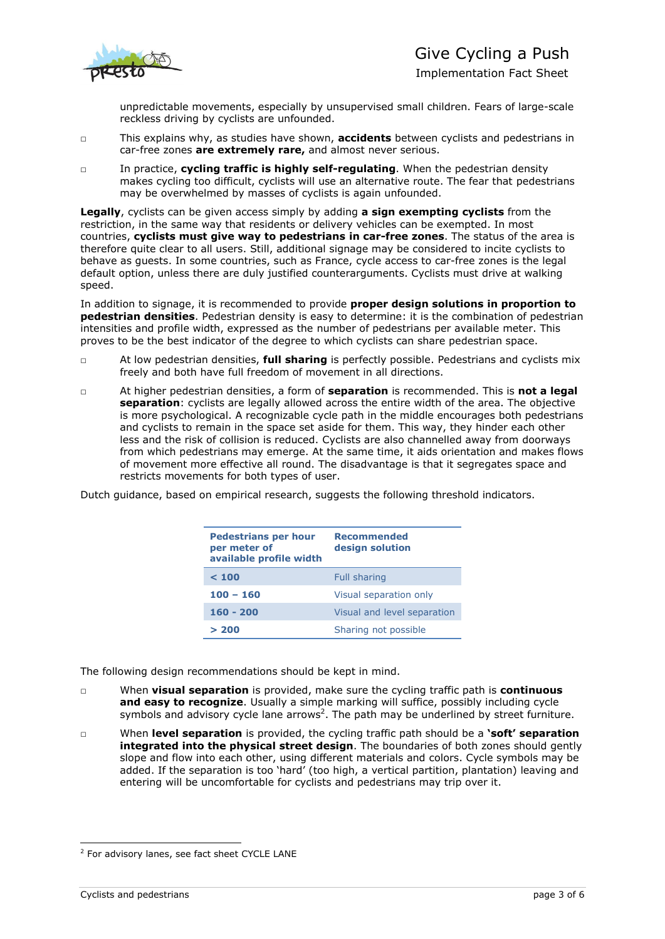

Implementation Fact Sheet

unpredictable movements, especially by unsupervised small children. Fears of large-scale reckless driving by cyclists are unfounded.

- □ This explains why, as studies have shown, **accidents** between cyclists and pedestrians in car-free zones **are extremely rare,** and almost never serious.
- □ In practice, **cycling traffic is highly self-regulating**. When the pedestrian density makes cycling too difficult, cyclists will use an alternative route. The fear that pedestrians may be overwhelmed by masses of cyclists is again unfounded.

**Legally**, cyclists can be given access simply by adding **a sign exempting cyclists** from the restriction, in the same way that residents or delivery vehicles can be exempted. In most countries, **cyclists must give way to pedestrians in car-free zones**. The status of the area is therefore quite clear to all users. Still, additional signage may be considered to incite cyclists to behave as guests. In some countries, such as France, cycle access to car-free zones is the legal default option, unless there are duly justified counterarguments. Cyclists must drive at walking speed.

In addition to signage, it is recommended to provide **proper design solutions in proportion to pedestrian densities**. Pedestrian density is easy to determine: it is the combination of pedestrian intensities and profile width, expressed as the number of pedestrians per available meter. This proves to be the best indicator of the degree to which cyclists can share pedestrian space.

- □ At low pedestrian densities, **full sharing** is perfectly possible. Pedestrians and cyclists mix freely and both have full freedom of movement in all directions.
- □ At higher pedestrian densities, a form of **separation** is recommended. This is **not a legal separation**: cyclists are legally allowed across the entire width of the area. The objective is more psychological. A recognizable cycle path in the middle encourages both pedestrians and cyclists to remain in the space set aside for them. This way, they hinder each other less and the risk of collision is reduced. Cyclists are also channelled away from doorways from which pedestrians may emerge. At the same time, it aids orientation and makes flows of movement more effective all round. The disadvantage is that it segregates space and restricts movements for both types of user.

Dutch guidance, based on empirical research, suggests the following threshold indicators.

| <b>Pedestrians per hour</b><br>per meter of<br>available profile width | <b>Recommended</b><br>design solution |
|------------------------------------------------------------------------|---------------------------------------|
| < 100                                                                  | <b>Full sharing</b>                   |
| $100 - 160$                                                            | Visual separation only                |
| $160 - 200$                                                            | Visual and level separation           |
| > 200                                                                  | Sharing not possible                  |

The following design recommendations should be kept in mind.

- □ When **visual separation** is provided, make sure the cycling traffic path is **continuous and easy to recognize**. Usually a simple marking will suffice, possibly including cycle symbols and advisory cycle lane arrows<sup>2</sup>. The path may be underlined by street furniture.
- □ When **level separation** is provided, the cycling traffic path should be a **'soft' separation integrated into the physical street design**. The boundaries of both zones should gently slope and flow into each other, using different materials and colors. Cycle symbols may be added. If the separation is too 'hard' (too high, a vertical partition, plantation) leaving and entering will be uncomfortable for cyclists and pedestrians may trip over it.

-

<sup>&</sup>lt;sup>2</sup> For advisory lanes, see fact sheet CYCLE LANE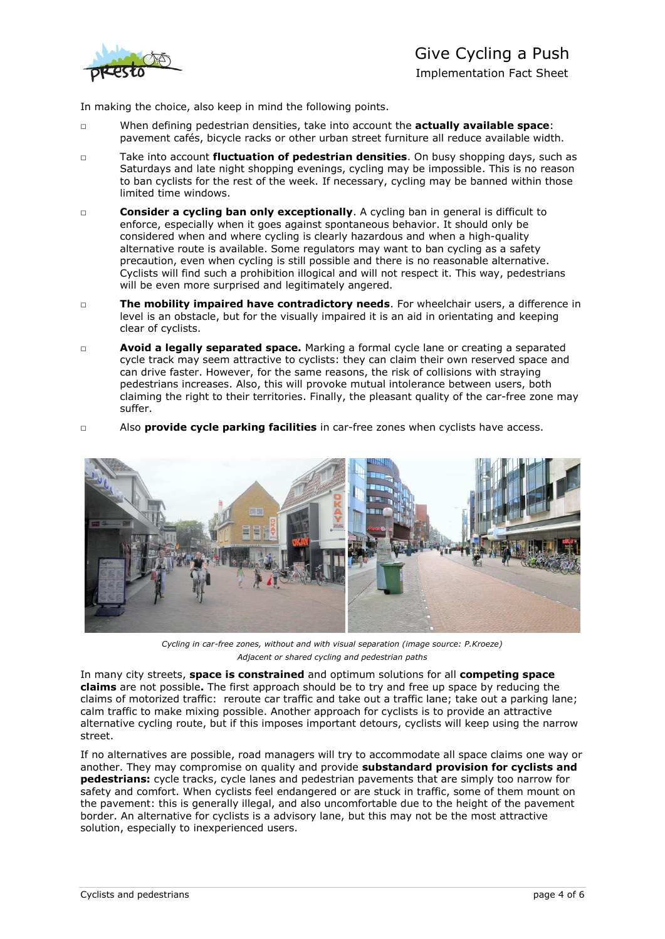

In making the choice, also keep in mind the following points.

- □ When defining pedestrian densities, take into account the **actually available space**: pavement cafés, bicycle racks or other urban street furniture all reduce available width.
- □ Take into account **fluctuation of pedestrian densities**. On busy shopping days, such as Saturdays and late night shopping evenings, cycling may be impossible. This is no reason to ban cyclists for the rest of the week. If necessary, cycling may be banned within those limited time windows.
- □ **Consider a cycling ban only exceptionally**. A cycling ban in general is difficult to enforce, especially when it goes against spontaneous behavior. It should only be considered when and where cycling is clearly hazardous and when a high-quality alternative route is available. Some regulators may want to ban cycling as a safety precaution, even when cycling is still possible and there is no reasonable alternative. Cyclists will find such a prohibition illogical and will not respect it. This way, pedestrians will be even more surprised and legitimately angered.
- □ **The mobility impaired have contradictory needs**. For wheelchair users, a difference in level is an obstacle, but for the visually impaired it is an aid in orientating and keeping clear of cyclists.
- □ **Avoid a legally separated space.** Marking a formal cycle lane or creating a separated cycle track may seem attractive to cyclists: they can claim their own reserved space and can drive faster. However, for the same reasons, the risk of collisions with straying pedestrians increases. Also, this will provoke mutual intolerance between users, both claiming the right to their territories. Finally, the pleasant quality of the car-free zone may suffer.
- □ Also **provide cycle parking facilities** in car-free zones when cyclists have access.



*Cycling in car-free zones, without and with visual separation (image source: P.Kroeze) Adjacent or shared cycling and pedestrian paths*

In many city streets, **space is constrained** and optimum solutions for all **competing space claims** are not possible**.** The first approach should be to try and free up space by reducing the claims of motorized traffic: reroute car traffic and take out a traffic lane; take out a parking lane; calm traffic to make mixing possible. Another approach for cyclists is to provide an attractive alternative cycling route, but if this imposes important detours, cyclists will keep using the narrow street.

If no alternatives are possible, road managers will try to accommodate all space claims one way or another. They may compromise on quality and provide **substandard provision for cyclists and pedestrians:** cycle tracks, cycle lanes and pedestrian pavements that are simply too narrow for safety and comfort. When cyclists feel endangered or are stuck in traffic, some of them mount on the pavement: this is generally illegal, and also uncomfortable due to the height of the pavement border. An alternative for cyclists is a advisory lane, but this may not be the most attractive solution, especially to inexperienced users.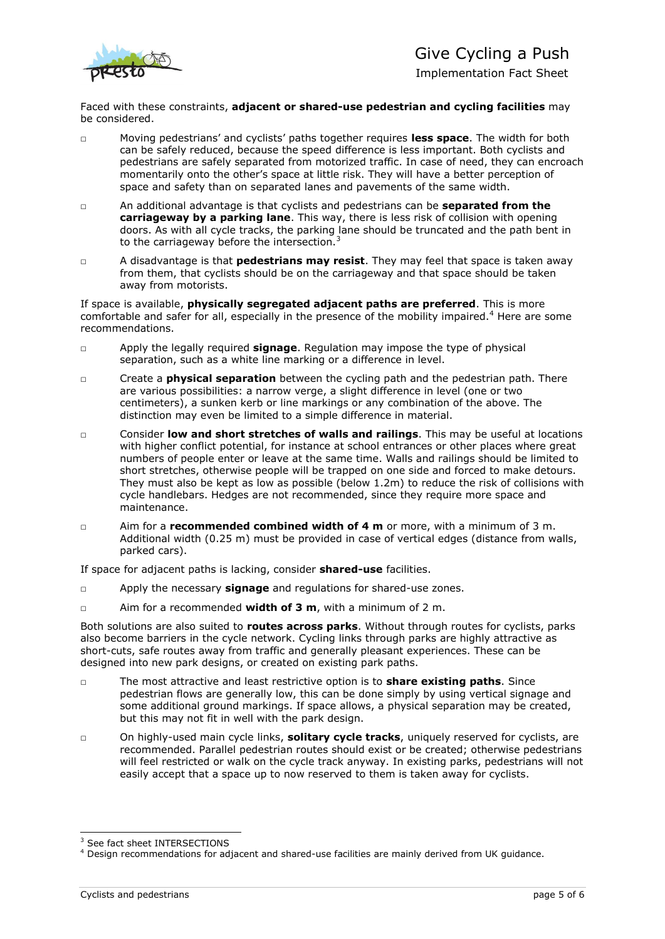

Implementation Fact Sheet

Faced with these constraints, **adjacent or shared-use pedestrian and cycling facilities** may be considered.

- □ Moving pedestrians' and cyclists' paths together requires **less space**. The width for both can be safely reduced, because the speed difference is less important. Both cyclists and pedestrians are safely separated from motorized traffic. In case of need, they can encroach momentarily onto the other's space at little risk. They will have a better perception of space and safety than on separated lanes and pavements of the same width.
- □ An additional advantage is that cyclists and pedestrians can be **separated from the carriageway by a parking lane**. This way, there is less risk of collision with opening doors. As with all cycle tracks, the parking lane should be truncated and the path bent in to the carriageway before the intersection. $3$
- □ A disadvantage is that **pedestrians may resist**. They may feel that space is taken away from them, that cyclists should be on the carriageway and that space should be taken away from motorists.

If space is available, **physically segregated adjacent paths are preferred**. This is more comfortable and safer for all, especially in the presence of the mobility impaired.<sup>4</sup> Here are some recommendations.

- □ Apply the legally required **signage**. Regulation may impose the type of physical separation, such as a white line marking or a difference in level.
- □ Create a **physical separation** between the cycling path and the pedestrian path. There are various possibilities: a narrow verge, a slight difference in level (one or two centimeters), a sunken kerb or line markings or any combination of the above. The distinction may even be limited to a simple difference in material.
- □ Consider **low and short stretches of walls and railings**. This may be useful at locations with higher conflict potential, for instance at school entrances or other places where great numbers of people enter or leave at the same time. Walls and railings should be limited to short stretches, otherwise people will be trapped on one side and forced to make detours. They must also be kept as low as possible (below 1.2m) to reduce the risk of collisions with cycle handlebars. Hedges are not recommended, since they require more space and maintenance.
- □ Aim for a **recommended combined width of 4 m** or more, with a minimum of 3 m. Additional width (0.25 m) must be provided in case of vertical edges (distance from walls, parked cars).

If space for adjacent paths is lacking, consider **shared-use** facilities.

- □ Apply the necessary **signage** and regulations for shared-use zones.
- □ Aim for a recommended **width of 3 m**, with a minimum of 2 m.

Both solutions are also suited to **routes across parks**. Without through routes for cyclists, parks also become barriers in the cycle network. Cycling links through parks are highly attractive as short-cuts, safe routes away from traffic and generally pleasant experiences. These can be designed into new park designs, or created on existing park paths.

- □ The most attractive and least restrictive option is to **share existing paths**. Since pedestrian flows are generally low, this can be done simply by using vertical signage and some additional ground markings. If space allows, a physical separation may be created, but this may not fit in well with the park design.
- □ On highly-used main cycle links, **solitary cycle tracks**, uniquely reserved for cyclists, are recommended. Parallel pedestrian routes should exist or be created; otherwise pedestrians will feel restricted or walk on the cycle track anyway. In existing parks, pedestrians will not easily accept that a space up to now reserved to them is taken away for cyclists.

<sup>-</sup><sup>3</sup> See fact sheet INTERSECTIONS

<sup>4</sup> Design recommendations for adjacent and shared-use facilities are mainly derived from UK guidance.